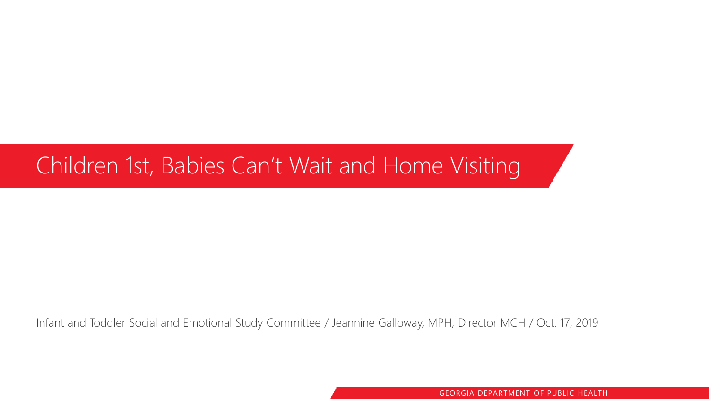#### Children 1st, Babies Can't Wait and Home Visiting

Infant and Toddler Social and Emotional Study Committee / Jeannine Galloway, MPH, Director MCH / Oct. 17, 2019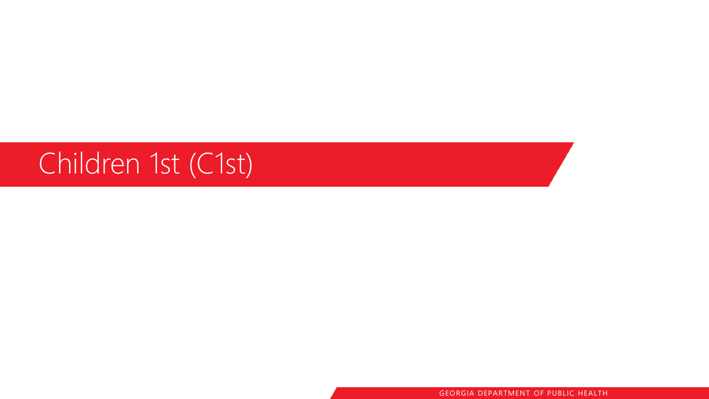## Children 1st (C1st)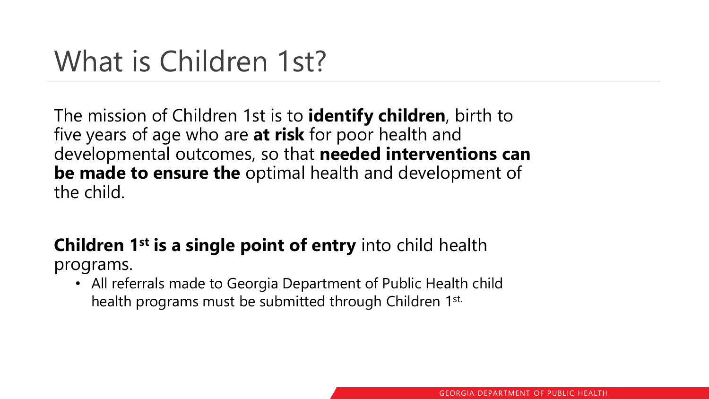## What is Children 1st?

The mission of Children 1st is to **identify children**, birth to five years of age who are **at risk** for poor health and developmental outcomes, so that **needed interventions can be made to ensure the** optimal health and development of the child.

#### **Children 1st is a single point of entry** into child health programs.

• All referrals made to Georgia Department of Public Health child health programs must be submitted through Children 1st.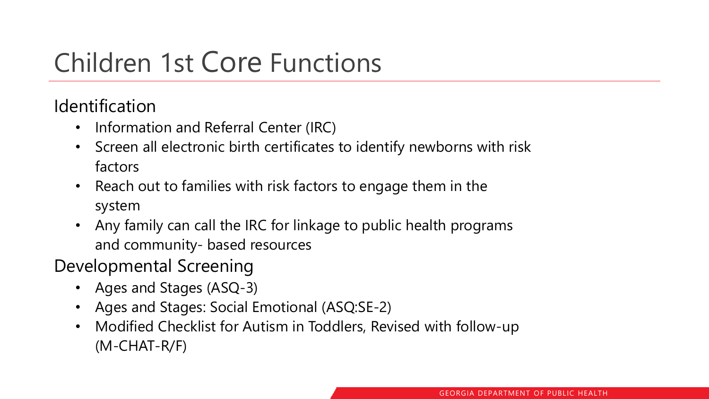## Children 1st Core Functions

Identification

- Information and Referral Center (IRC)
- Screen all electronic birth certificates to identify newborns with risk factors
- Reach out to families with risk factors to engage them in the system
- Any family can call the IRC for linkage to public health programs and community- based resources
- Developmental Screening
	- Ages and Stages (ASQ-3)
	- Ages and Stages: Social Emotional (ASQ:SE-2)
	- Modified Checklist for Autism in Toddlers, Revised with follow-up (M-CHAT-R/F)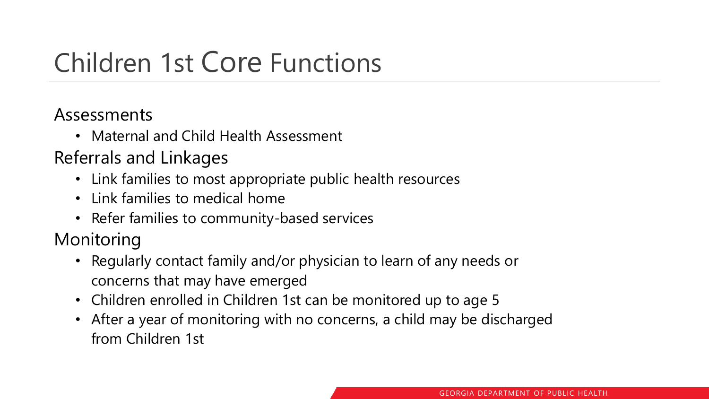## Children 1st Core Functions

Assessments

• Maternal and Child Health Assessment

Referrals and Linkages

- Link families to most appropriate public health resources
- Link families to medical home
- Refer families to community-based services

Monitoring

- Regularly contact family and/or physician to learn of any needs or concerns that may have emerged
- Children enrolled in Children 1st can be monitored up to age 5
- After a year of monitoring with no concerns, a child may be discharged from Children 1st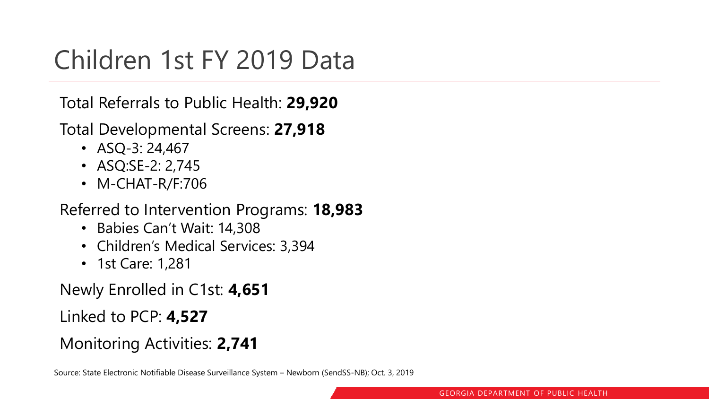### Children 1st FY 2019 Data

Total Referrals to Public Health: **29,920**

Total Developmental Screens: **27,918**

- $ASQ-3: 24,467$
- ASQ:SE-2: 2,745
- M-CHAT-R/F:706

#### Referred to Intervention Programs: **18,983**

- Babies Can't Wait: 14,308
- Children's Medical Services: 3,394
- 1st Care: 1,281

Newly Enrolled in C1st: **4,651**

Linked to PCP: **4,527**

Monitoring Activities: **2,741**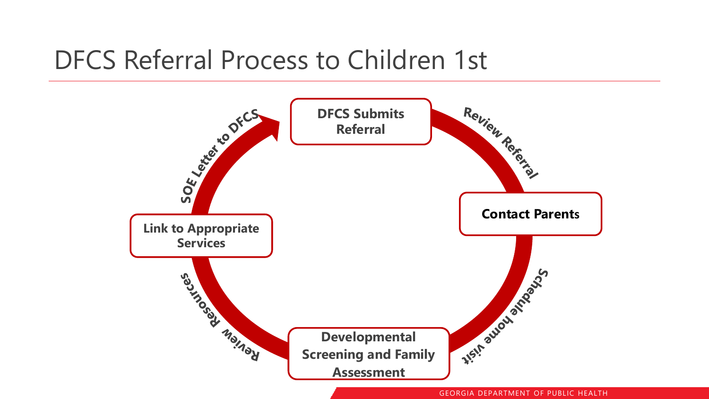#### DFCS Referral Process to Children 1st

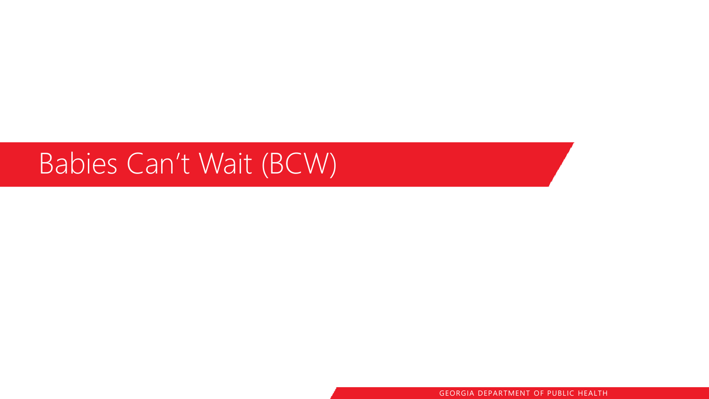## Babies Can't Wait (BCW)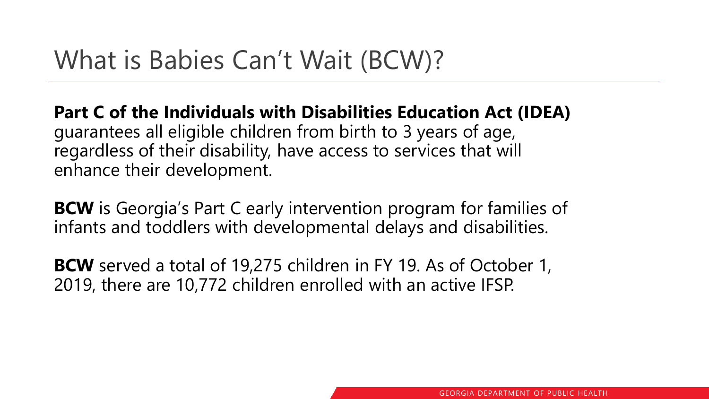**Part C of the Individuals with Disabilities Education Act (IDEA)**  guarantees all eligible children from birth to 3 years of age, regardless of their disability, have access to services that will enhance their development.

**BCW** is Georgia's Part C early intervention program for families of infants and toddlers with developmental delays and disabilities.

**BCW** served a total of 19,275 children in FY 19. As of October 1, 2019, there are 10,772 children enrolled with an active IFSP.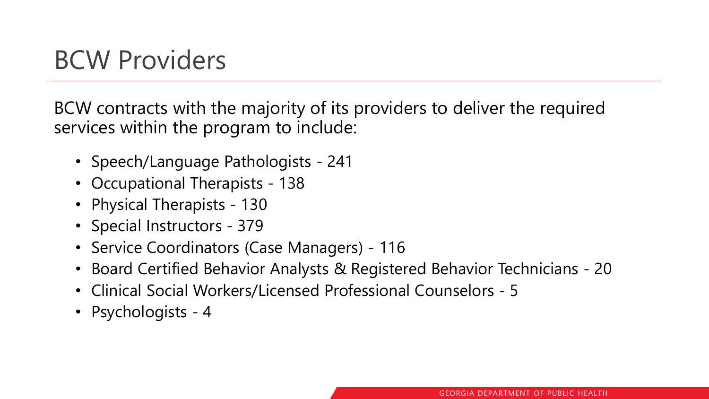### BCW Providers

BCW contracts with the majority of its providers to deliver the required services within the program to include:

- Speech/Language Pathologists 241
- Occupational Therapists 138
- Physical Therapists 130
- Special Instructors 379
- Service Coordinators (Case Managers) 116
- Board Certified Behavior Analysts & Registered Behavior Technicians 20
- Clinical Social Workers/Licensed Professional Counselors 5
- Psychologists 4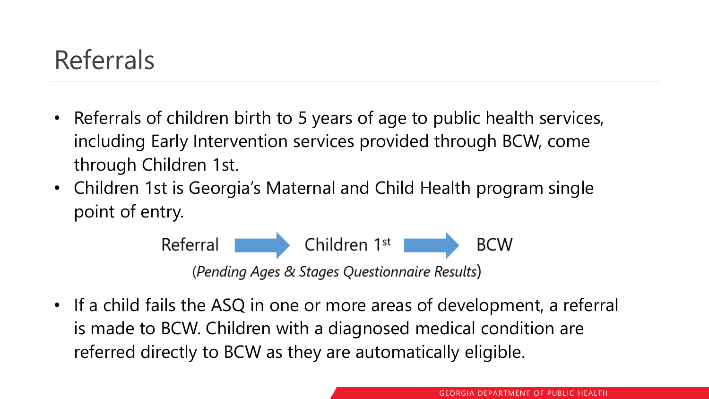### Referrals

- Referrals of children birth to 5 years of age to public health services, including Early Intervention services provided through BCW, come through Children 1st.
- Children 1st is Georgia's Maternal and Child Health program single point of entry.



• If a child fails the ASQ in one or more areas of development, a referral is made to BCW. Children with a diagnosed medical condition are referred directly to BCW as they are automatically eligible.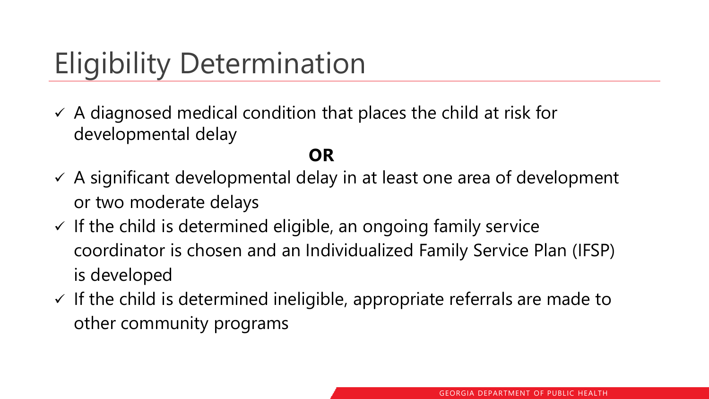# Eligibility Determination

 $\checkmark$  A diagnosed medical condition that places the child at risk for developmental delay

#### **OR**

- $\checkmark$  A significant developmental delay in at least one area of development or two moderate delays
- $\checkmark$  If the child is determined eligible, an ongoing family service coordinator is chosen and an Individualized Family Service Plan (IFSP) is developed
- $\checkmark$  If the child is determined ineligible, appropriate referrals are made to other community programs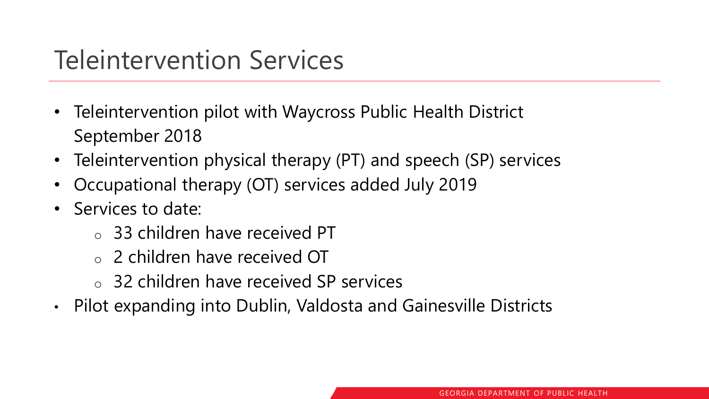### Teleintervention Services

- Teleintervention pilot with Waycross Public Health District September 2018
- Teleintervention physical therapy (PT) and speech (SP) services
- Occupational therapy (OT) services added July 2019
- Services to date:
	- o 33 children have received PT
	- o 2 children have received OT
	- o 32 children have received SP services
- Pilot expanding into Dublin, Valdosta and Gainesville Districts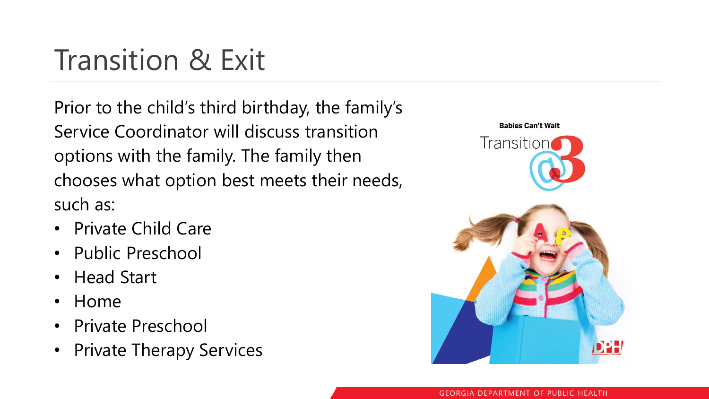## Transition & Exit

Prior to the child's third birthday, the family's Service Coordinator will discuss transition options with the family. The family then chooses what option best meets their needs, such as:

- Private Child Care
- Public Preschool
- Head Start
- Home
- Private Preschool
- Private Therapy Services

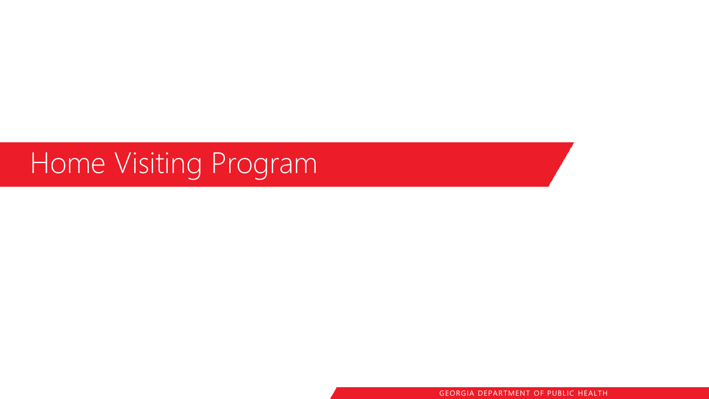## Home Visiting Program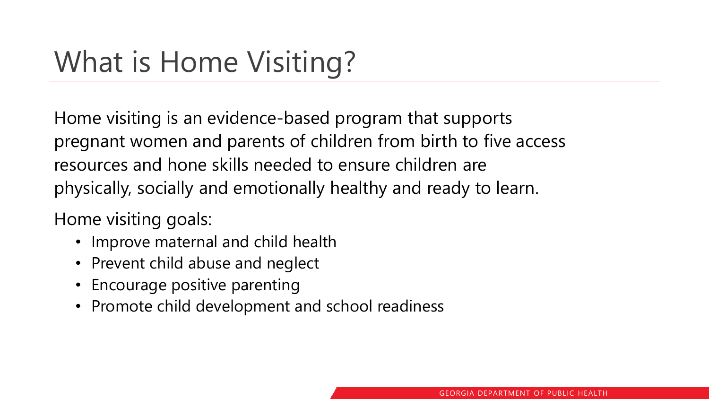## What is Home Visiting?

Home visiting is an evidence-based program that supports pregnant women and parents of children from birth to five access resources and hone skills needed to ensure children are physically, socially and emotionally healthy and ready to learn.

Home visiting goals:

- Improve maternal and child health
- Prevent child abuse and neglect
- Encourage positive parenting
- Promote child development and school readiness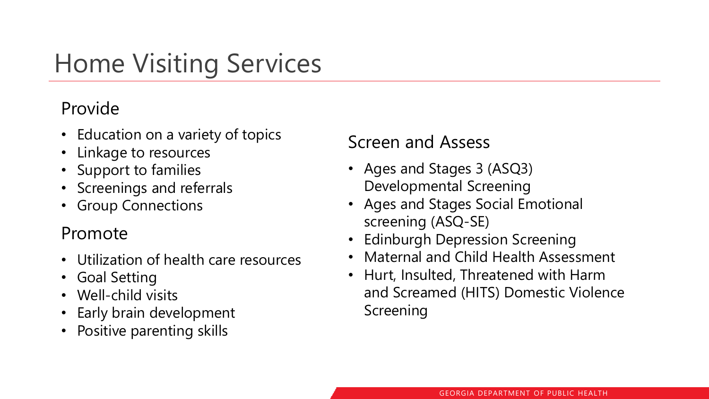## Home Visiting Services

#### Provide

- Education on a variety of topics
- Linkage to resources
- Support to families
- Screenings and referrals
- Group Connections

#### Promote

- Utilization of health care resources
- Goal Setting
- Well-child visits
- Early brain development
- Positive parenting skills

#### Screen and Assess

- Ages and Stages 3 (ASQ3) Developmental Screening
- Ages and Stages Social Emotional screening (ASQ-SE)
- Edinburgh Depression Screening
- Maternal and Child Health Assessment
- Hurt, Insulted, Threatened with Harm and Screamed (HITS) Domestic Violence Screening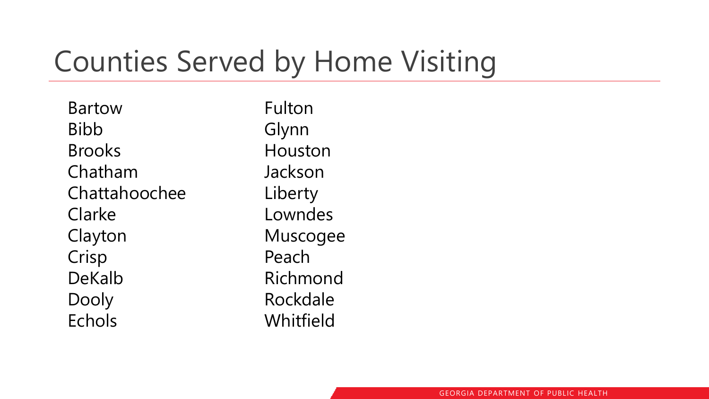## Counties Served by Home Visiting

Bartow Bibb Brooks Chatham Chattahoochee Clarke Clayton Crisp DeKalb Dooly Echols

Fulton Glynn Houston Jackson Liberty Lowndes Muscogee Peach Richmond Rockdale Whitfield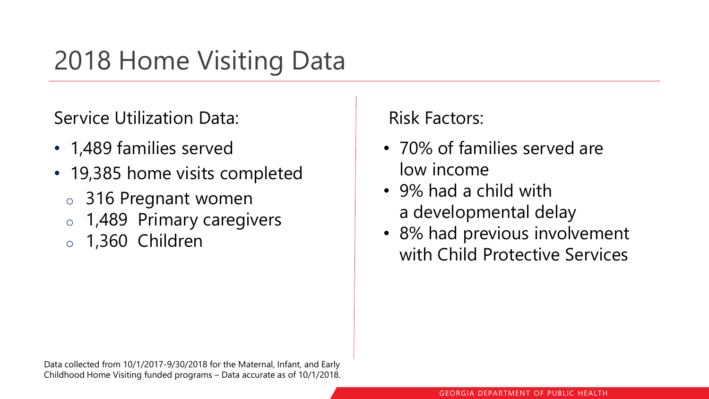## 2018 Home Visiting Data

Service Utilization Data:

- 1,489 families served
- 19,385 home visits completed
	- o 316 Pregnant women
	- o 1,489 Primary caregivers
	- o 1,360 Children

Risk Factors:

- 70% of families served are low income
- 9% had a child with a developmental delay
- 8% had previous involvement with Child Protective Services

Data collected from 10/1/2017-9/30/2018 for the Maternal, Infant, and Early Childhood Home Visiting funded programs – Data accurate as of 10/1/2018.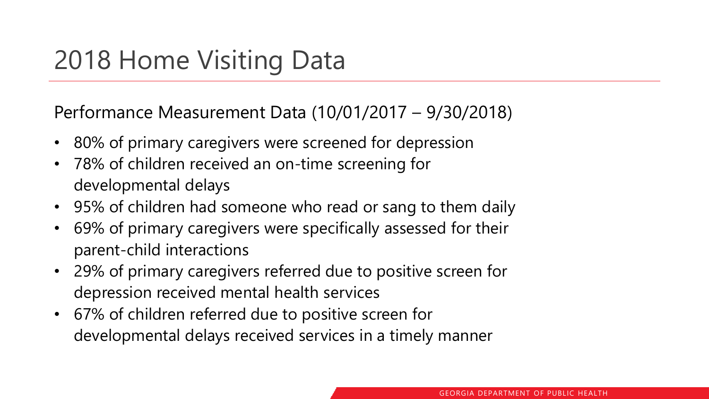### 2018 Home Visiting Data

Performance Measurement Data (10/01/2017 – 9/30/2018)

- 80% of primary caregivers were screened for depression
- 78% of children received an on-time screening for developmental delays
- 95% of children had someone who read or sang to them daily
- 69% of primary caregivers were specifically assessed for their parent-child interactions
- 29% of primary caregivers referred due to positive screen for depression received mental health services
- 67% of children referred due to positive screen for developmental delays received services in a timely manner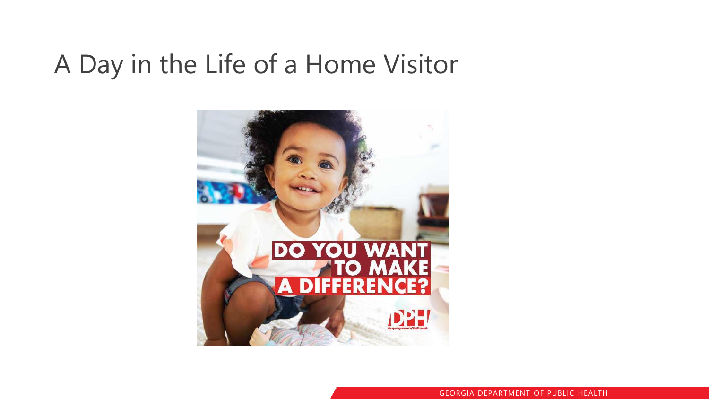### A Day in the Life of a Home Visitor